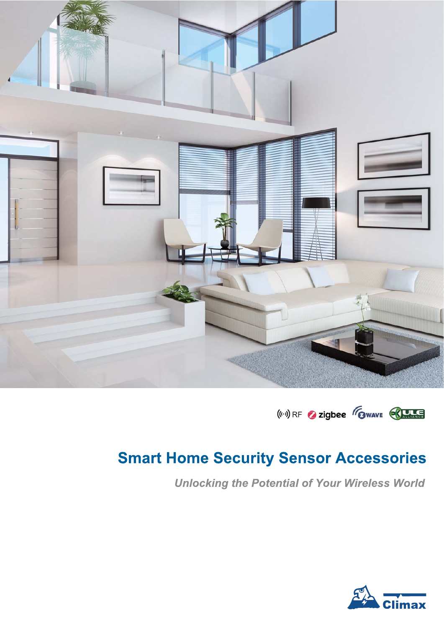



## **Smart Home Security Sensor Accessories**

**Unlocking the Potential of Your Wireless World** 

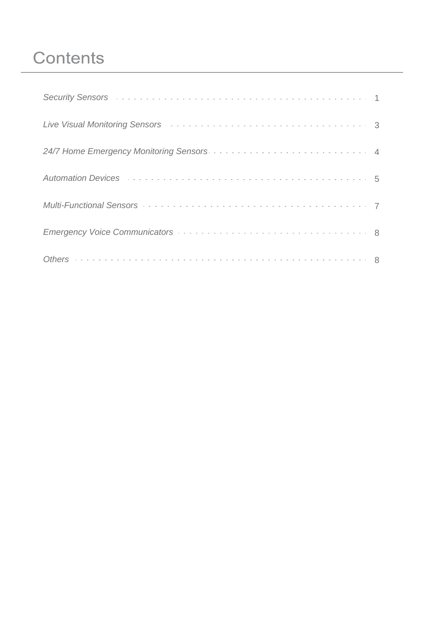# **Contents**

| Security Sensors (and the contract of the contract of the contract of the contract of the contract of the contract of the contract of the contract of the contract of the contract of the contract of the contract of the cont |  |
|--------------------------------------------------------------------------------------------------------------------------------------------------------------------------------------------------------------------------------|--|
|                                                                                                                                                                                                                                |  |
|                                                                                                                                                                                                                                |  |
| Automation Devices Automatics Automatics Automatics Automation Devices                                                                                                                                                         |  |
|                                                                                                                                                                                                                                |  |
|                                                                                                                                                                                                                                |  |
|                                                                                                                                                                                                                                |  |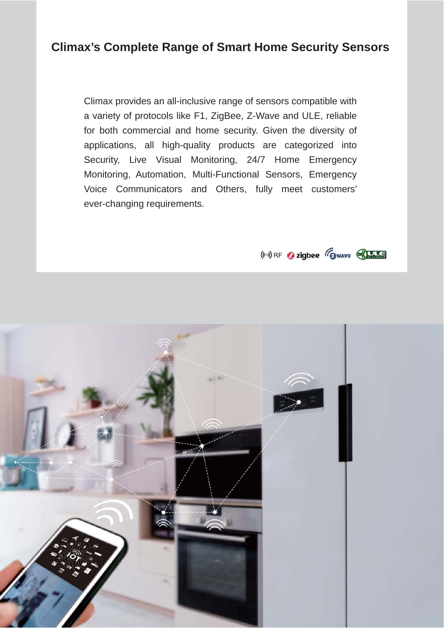#### **Climax's Complete Range of Smart Home Security Sensors**

Climax provides an all-inclusive range of sensors compatible with a variety of protocols like F1, ZigBee, Z-Wave and ULE, reliable for both commercial and home security. Given the diversity of applications, all high-quality products are categorized into Security, Live Visual Monitoring, 24/7 Home Emergency Monitoring, Automation, Multi-Functional Sensors, Emergency Voice Communicators and Others, fully meet customers' ever-changing requirements.

 $(\left\langle \cdot,\cdot\right\rangle )$  RF 2 zigbee  $\mathscr{F}_{\text{Gwave}}$ 

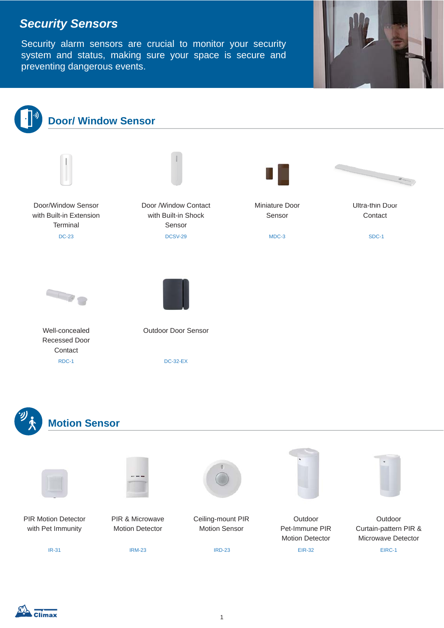## *Security Sensors*

Security alarm sensors are crucial to monitor your security system and status, making sure your space is secure and preventing dangerous events.

![](_page_3_Picture_2.jpeg)

![](_page_3_Figure_3.jpeg)

![](_page_3_Picture_4.jpeg)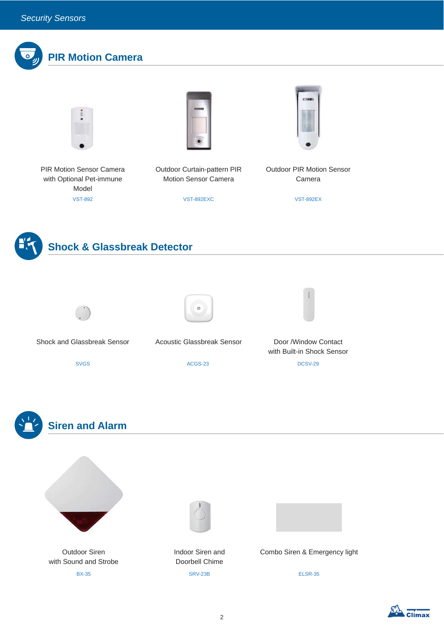![](_page_4_Picture_1.jpeg)

Climax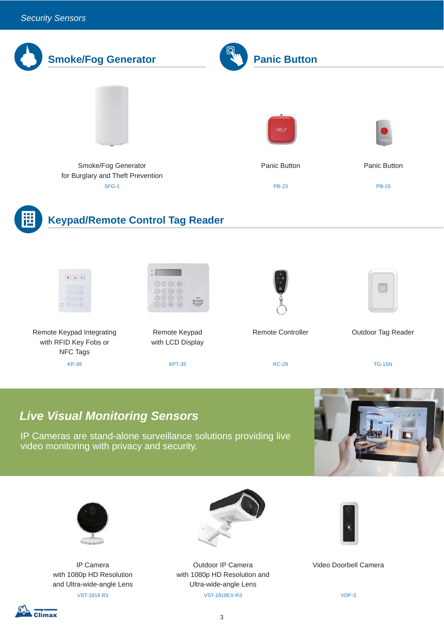![](_page_5_Picture_1.jpeg)

#### *Live Visual Monitoring Sensors*

Remote Keypad Integrating with RFID Key Fobs or NFC Tags

 $\therefore$  (a) (a) (a)

IP Cameras are stand-alone surveillance solutions providing live video monitoring with privacy and security.

Remote Keypad with LCD Display

E

 $\circledcirc \circledcirc \circledcirc$ 

 $\odot$   $\odot$   $\odot$ 

![](_page_5_Picture_4.jpeg)

![](_page_5_Picture_5.jpeg)

IP Camera with 1080p HD Resolution and Ultra-wide-angle Lens

![](_page_5_Picture_7.jpeg)

KP-39 KPT-35 RC-29 TG-15N

Outdoor IP Camera with 1080p HD Resolution and Ultra-wide-angle Lens VST-1818 R3 VST-1818EX-R3 VDP-3

![](_page_5_Picture_9.jpeg)

Remote Controller **Canadem Controller** Cutdoor Tag Reader

Video Doorbell Camera

![](_page_5_Picture_12.jpeg)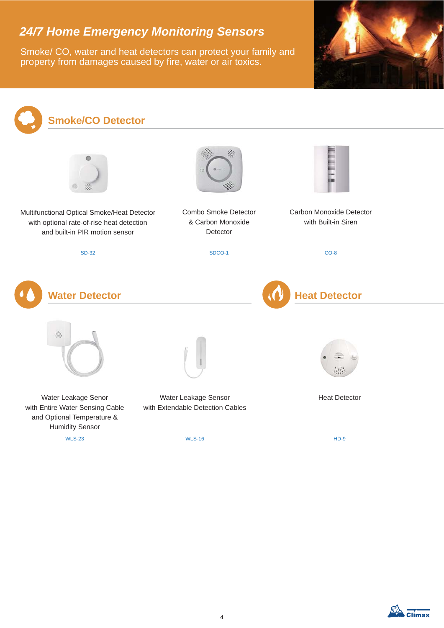## *24/7 Home Emergency Monitoring Sensors*

Smoke/ CO, water and heat detectors can protect your family and property from damages caused by fire, water or air toxics.

![](_page_6_Picture_2.jpeg)

![](_page_6_Figure_3.jpeg)

![](_page_6_Picture_4.jpeg)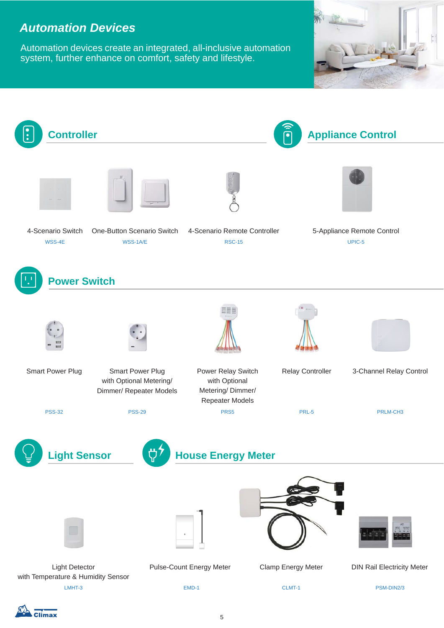#### *Automation Devices*

Automation devices create an integrated, all-inclusive automation system, further enhance on comfort, safety and lifestyle.

![](_page_7_Picture_2.jpeg)

![](_page_7_Figure_3.jpeg)

Climax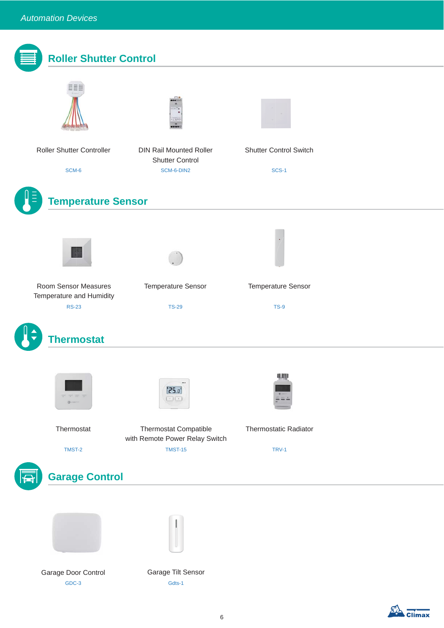| <b>Roller Shutter Control</b>                    |                                                                        |                                               |  |
|--------------------------------------------------|------------------------------------------------------------------------|-----------------------------------------------|--|
|                                                  |                                                                        |                                               |  |
| Roller Shutter Controller<br>SCM-6               | <b>DIN Rail Mounted Roller</b><br><b>Shutter Control</b><br>SCM-6-DIN2 | <b>Shutter Control Switch</b><br><b>SCS-1</b> |  |
|                                                  |                                                                        |                                               |  |
| <b>Temperature Sensor</b>                        |                                                                        |                                               |  |
|                                                  |                                                                        |                                               |  |
| Room Sensor Measures<br>Temperature and Humidity | <b>Temperature Sensor</b>                                              | <b>Temperature Sensor</b>                     |  |
| <b>RS-23</b>                                     | <b>TS-29</b>                                                           | <b>TS-9</b>                                   |  |
| <b>Thermostat</b>                                |                                                                        |                                               |  |
| $0 -$                                            | $\cdots$<br>"25.0"<br>$\left( -\right) \left( \cdot\right)$            | 興                                             |  |
| Thermostat                                       | <b>Thermostat Compatible</b><br>with Remote Power Relay Switch         | <b>Thermostatic Radiator</b>                  |  |
| TMST-2                                           | <b>TMST-15</b>                                                         | TRV-1                                         |  |
| <b>Garage Control</b>                            |                                                                        |                                               |  |
|                                                  |                                                                        |                                               |  |
| Garage Door Control<br>GDC-3                     | Garage Tilt Sensor<br>Gdts-1                                           |                                               |  |

Climax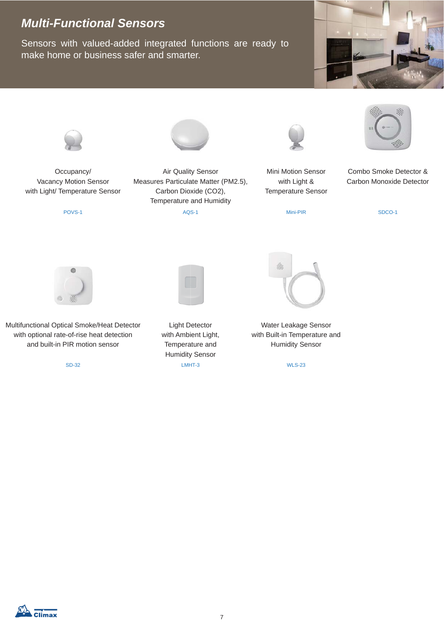## *Multi-Functional Sensors*

Sensors with valued-added integrated functions are ready to make home or business safer and smarter.

![](_page_9_Picture_2.jpeg)

![](_page_9_Picture_3.jpeg)

Occupancy/ Vacancy Motion Sensor with Light/ Temperature Sensor

![](_page_9_Picture_6.jpeg)

Air Quality Sensor Measures Particulate Matter (PM2.5), Carbon Dioxide (CO2), Temperature and Humidity

POVS-1 AQS-1 AQS-1 Mini-PIR

![](_page_9_Picture_9.jpeg)

Mini Motion Sensor with Light & Temperature Sensor

![](_page_9_Picture_12.jpeg)

Combo Smoke Detector & Carbon Monoxide Detector

SDCO-1

![](_page_9_Picture_15.jpeg)

Multifunctional Optical Smoke/Heat Detector with optional rate-of-rise heat detection and built-in PIR motion sensor

SD-32

Light Detector with Ambient Light, Temperature and Humidity Sensor LMHT-3

![](_page_9_Picture_19.jpeg)

Water Leakage Sensor with Built-in Temperature and Humidity Sensor

WLS-23

![](_page_9_Picture_22.jpeg)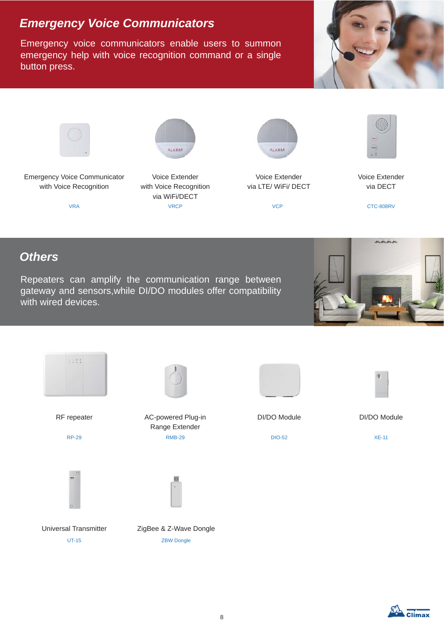## *Emergency Voice Communicators*

Emergency voice communicators enable users to summon emergency help with voice recognition command or a single button press.

![](_page_10_Picture_2.jpeg)

![](_page_10_Picture_3.jpeg)

![](_page_10_Picture_4.jpeg)

Voice Extender with Voice Recognition via WiFi/DECT VRA VRCP VCP CTC-808RV

ALARM

![](_page_10_Picture_6.jpeg)

Voice Extender via LTE/ WiFi/ DECT

![](_page_10_Picture_8.jpeg)

Voice Extender via DECT

#### *Others*

Repeaters can amplify the communication range between gateway and sensors,while DI/DO modules offer compatibility with wired devices.

![](_page_10_Picture_13.jpeg)

![](_page_10_Figure_14.jpeg)

![](_page_10_Figure_17.jpeg)

![](_page_10_Picture_18.jpeg)

RF repeater **AC-powered Plug-in** Range Extender RP-29 RMB-29 DIO-52 XE-11

![](_page_10_Picture_20.jpeg)

![](_page_10_Picture_21.jpeg)

DI/DO Module DI/DO Module

![](_page_10_Picture_27.jpeg)

Universal Transmitter ZigBee & Z-Wave Dongle UT-15 ZBW Dongle

![](_page_10_Picture_29.jpeg)